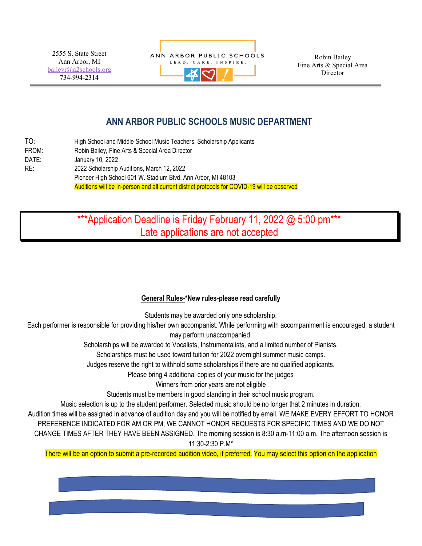2555 S. State Street Ann Arbor, MI [baileyr@a2schools.org](mailto:baileyr@a2schools.org) 734-994-2314



Robin Bailey Fine Arts & Special Area Director

## **ANN ARBOR PUBLIC SCHOOLS MUSIC DEPARTMENT**

| TO:   | High School and Middle School Music Teachers, Scholarship Applicants                         |
|-------|----------------------------------------------------------------------------------------------|
| FROM: | Robin Bailey, Fine Arts & Special Area Director                                              |
| DATE: | January 10, 2022                                                                             |
| RE:   | 2022 Scholarship Auditions, March 12, 2022                                                   |
|       | Pioneer High School 601 W. Stadium Blvd. Ann Arbor, MI 48103                                 |
|       | Auditions will be in-person and all current district protocols for COVID-19 will be observed |

## \*\*\*Application Deadline is Friday February 11, 2022 @ 5:00 pm\*\*\* Late applications are not accepted

## **General Rules-\*New rules-please read carefully**

Students may be awarded only one scholarship.

Each performer is responsible for providing his/her own accompanist. While performing with accompaniment is encouraged, a student may perform unaccompanied.

Scholarships will be awarded to Vocalists, Instrumentalists, and a limited number of Pianists.

Scholarships must be used toward tuition for 2022 overnight summer music camps.

Judges reserve the right to withhold some scholarships if there are no qualified applicants.

Please bring 4 additional copies of your music for the judges

Winners from prior years are not eligible

Students must be members in good standing in their school music program.

Music selection is up to the student performer. Selected music should be no longer that 2 minutes in duration.

Audition times will be assigned in advance of audition day and you will be notified by email. WE MAKE EVERY EFFORT TO HONOR

PREFERENCE INDICATED FOR AM OR PM, WE CANNOT HONOR REQUESTS FOR SPECIFIC TIMES AND WE DO NOT

CHANGE TIMES AFTER THEY HAVE BEEN ASSIGNED. The morning session is 8:30 a.m-11:00 a.m. The afternoon session is 11:30-2:30 P.M\*

There will be an option to submit a pre-recorded audition video, if preferred. You may select this option on the application